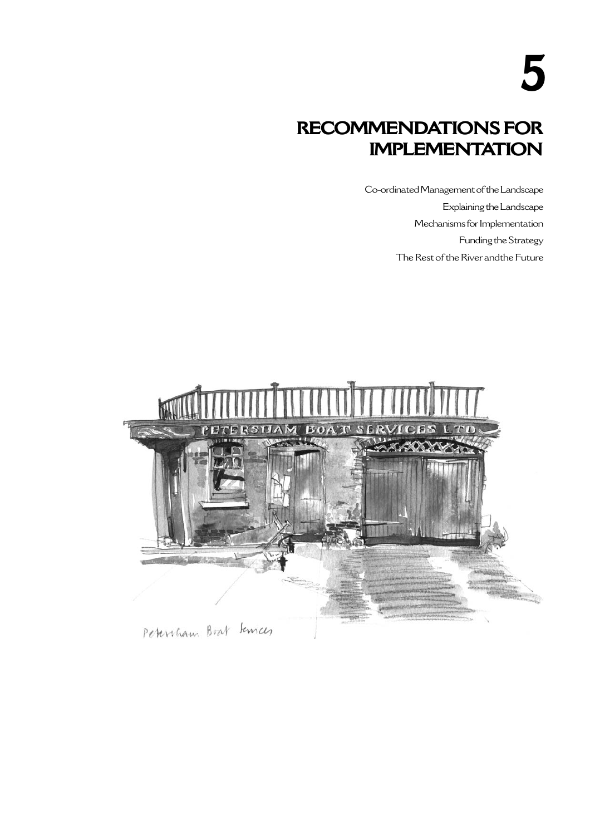# **RECOMMENDATIONS FOR IMPLEMENTATION**

Co-ordinated Management of the Landscape Explaining the Landscape Mechanisms for Implementation Funding the Strategy The Rest of the River andthe Future

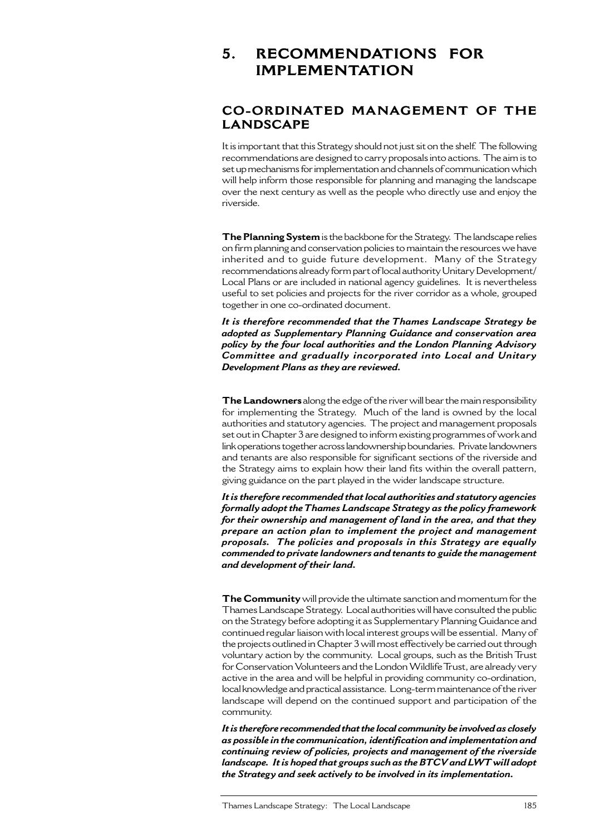# **5. RECOMMENDATIONS FOR IMPLEMENTATION**

# **CO-ORDINATED MANAGEMENT OF THE LANDSCAPE**

It is important that this Strategy should not just sit on the shelf. The following recommendations are designed to carry proposals into actions. The aim is to set up mechanisms for implementation and channels of communication which will help inform those responsible for planning and managing the landscape over the next century as well as the people who directly use and enjoy the riverside.

**The Planning System** is the backbone for the Strategy. The landscape relies on firm planning and conservation policies to maintain the resources we have inherited and to guide future development. Many of the Strategy recommendations already form part of local authority Unitary Development/ Local Plans or are included in national agency guidelines. It is nevertheless useful to set policies and projects for the river corridor as a whole, grouped together in one co-ordinated document.

*It is therefore recommended that the Thames Landscape Strategy be adopted as Supplementary Planning Guidance and conservation area policy by the four local authorities and the London Planning Advisory Committee and gradually incorporated into Local and Unitary Development Plans as they are reviewed.*

**The Landowners** along the edge of the river will bear the main responsibility for implementing the Strategy. Much of the land is owned by the local authorities and statutory agencies. The project and management proposals set out in Chapter 3 are designed to inform existing programmes of work and link operations together across landownership boundaries. Private landowners and tenants are also responsible for significant sections of the riverside and the Strategy aims to explain how their land fits within the overall pattern, giving guidance on the part played in the wider landscape structure.

*It is therefore recommended that local authorities and statutory agencies formally adopt the Thames Landscape Strategy as the policy framework for their ownership and management of land in the area, and that they prepare an action plan to implement the project and management proposals. The policies and proposals in this Strategy are equally commended to private landowners and tenants to guide the management and development of their land.*

**The Community** will provide the ultimate sanction and momentum for the Thames Landscape Strategy. Local authorities will have consulted the public on the Strategy before adopting it as Supplementary Planning Guidance and continued regular liaison with local interest groups will be essential. Many of the projects outlined in Chapter 3 will most effectively be carried out through voluntary action by the community. Local groups, such as the British Trust for Conservation Volunteers and the London Wildlife Trust, are already very active in the area and will be helpful in providing community co-ordination, local knowledge and practical assistance. Long-term maintenance of the river landscape will depend on the continued support and participation of the community.

*It is therefore recommended that the local community be involved as closely as possible in the communication, identification and implementation and continuing review of policies, projects and management of the riverside landscape. It is hoped that groups such as the BTCV and LWT will adopt the Strategy and seek actively to be involved in its implementation.*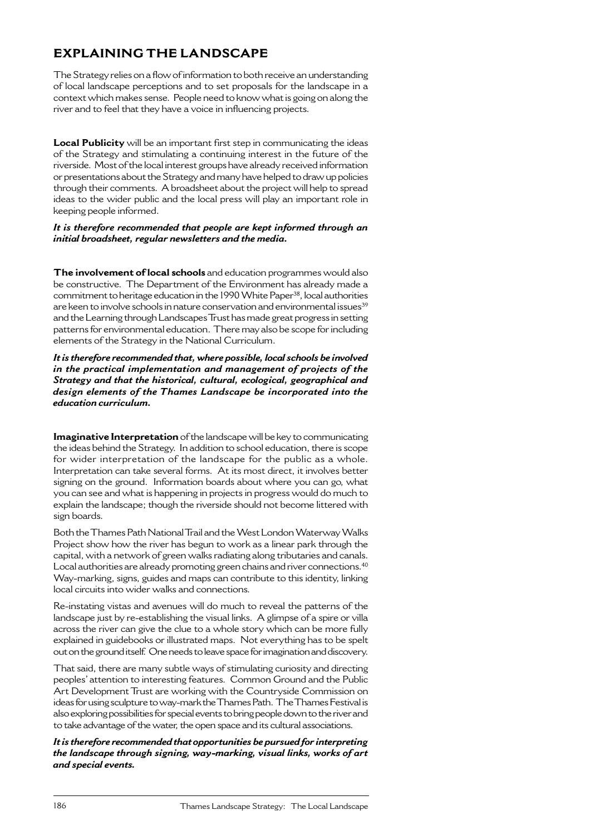# **EXPLAINING THE LANDSCAPE**

The Strategy relies on a flow of information to both receive an understanding of local landscape perceptions and to set proposals for the landscape in a context which makes sense. People need to know what is going on along the river and to feel that they have a voice in influencing projects.

**Local Publicity** will be an important first step in communicating the ideas of the Strategy and stimulating a continuing interest in the future of the riverside. Most of the local interest groups have already received information or presentations about the Strategy and many have helped to draw up policies through their comments. A broadsheet about the project will help to spread ideas to the wider public and the local press will play an important role in keeping people informed.

#### *It is therefore recommended that people are kept informed through an initial broadsheet, regular newsletters and the media.*

**The involvement of local schools** and education programmes would also be constructive. The Department of the Environment has already made a commitment to heritage education in the 1990 White Paper<sup>38</sup>, local authorities are keen to involve schools in nature conservation and environmental issues<sup>39</sup> and the Learning through Landscapes Trust has made great progress in setting patterns for environmental education. There may also be scope for including elements of the Strategy in the National Curriculum.

*It is therefore recommended that, where possible, local schools be involved in the practical implementation and management of projects of the Strategy and that the historical, cultural, ecological, geographical and design elements of the Thames Landscape be incorporated into the education curriculum.*

**Imaginative Interpretation** of the landscape will be key to communicating the ideas behind the Strategy. In addition to school education, there is scope for wider interpretation of the landscape for the public as a whole. Interpretation can take several forms. At its most direct, it involves better signing on the ground. Information boards about where you can go, what you can see and what is happening in projects in progress would do much to explain the landscape; though the riverside should not become littered with sign boards.

Both the Thames Path National Trail and the West London Waterway Walks Project show how the river has begun to work as a linear park through the capital, with a network of green walks radiating along tributaries and canals. Local authorities are already promoting green chains and river connections.<sup>40</sup> Way-marking, signs, guides and maps can contribute to this identity, linking local circuits into wider walks and connections.

Re-instating vistas and avenues will do much to reveal the patterns of the landscape just by re-establishing the visual links. A glimpse of a spire or villa across the river can give the clue to a whole story which can be more fully explained in guidebooks or illustrated maps. Not everything has to be spelt out on the ground itself. One needs to leave space for imagination and discovery.

That said, there are many subtle ways of stimulating curiosity and directing peoples' attention to interesting features. Common Ground and the Public Art Development Trust are working with the Countryside Commission on ideas for using sculpture to way-mark the Thames Path. The Thames Festival is also exploring possibilities for special events to bring people down to the river and to take advantage of the water, the open space and its cultural associations.

*It is therefore recommended that opportunities be pursued for interpreting the landscape through signing, way-marking, visual links, works of art and special events.*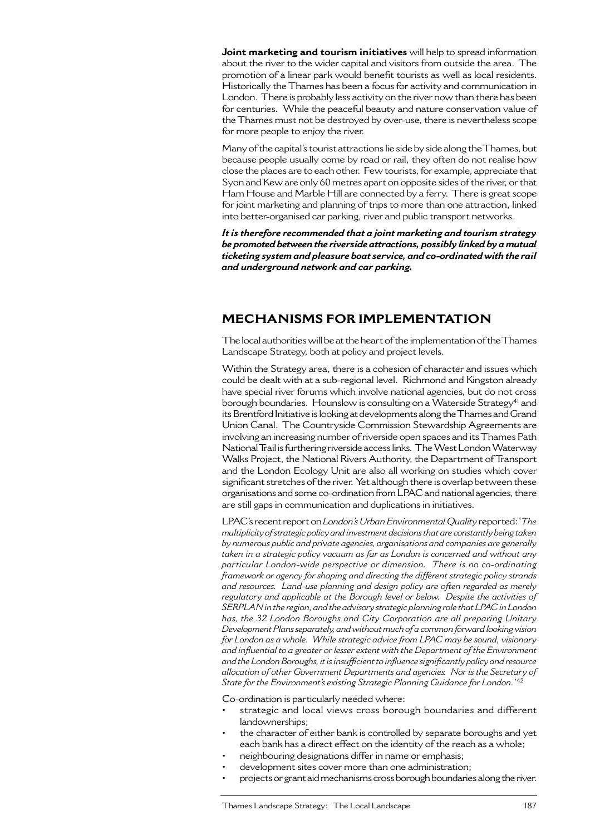**Joint marketing and tourism initiatives** will help to spread information about the river to the wider capital and visitors from outside the area. The promotion of a linear park would benefit tourists as well as local residents. Historically the Thames has been a focus for activity and communication in London. There is probably less activity on the river now than there has been for centuries. While the peaceful beauty and nature conservation value of the Thames must not be destroyed by over-use, there is nevertheless scope for more people to enjoy the river.

Many of the capital's tourist attractions lie side by side along the Thames, but because people usually come by road or rail, they often do not realise how close the places are to each other. Few tourists, for example, appreciate that Syon and Kew are only 60 metres apart on opposite sides of the river, or that Ham House and Marble Hill are connected by a ferry. There is great scope for joint marketing and planning of trips to more than one attraction, linked into better-organised car parking, river and public transport networks.

*It is therefore recommended that a joint marketing and tourism strategy be promoted between the riverside attractions, possibly linked by a mutual ticketing system and pleasure boat service, and co-ordinated with the rail and underground network and car parking.*

### **MECHANISMS FOR IMPLEMENTATION**

The local authorities will be at the heart of the implementation of the Thames Landscape Strategy, both at policy and project levels.

Within the Strategy area, there is a cohesion of character and issues which could be dealt with at a sub-regional level. Richmond and Kingston already have special river forums which involve national agencies, but do not cross borough boundaries. Hounslow is consulting on a Waterside Strategy<sup>41</sup> and its Brentford Initiative is looking at developments along the Thames and Grand Union Canal. The Countryside Commission Stewardship Agreements are involving an increasing number of riverside open spaces and its Thames Path National Trail is furthering riverside access links. The West London Waterway Walks Project, the National Rivers Authority, the Department of Transport and the London Ecology Unit are also all working on studies which cover significant stretches of the river. Yet although there is overlap between these organisations and some co-ordination from LPAC and national agencies, there are still gaps in communication and duplications in initiatives.

LPAC's recent report on *London's Urban Environmental Quality* reported: '*The multiplicity of strategic policy and investment decisions that are constantly being taken by numerous public and private agencies, organisations and companies are generally taken in a strategic policy vacuum as far as London is concerned and without any particular London-wide perspective or dimension. There is no co-ordinating framework or agency for shaping and directing the different strategic policy strands and resources. Land-use planning and design policy are often regarded as merely regulatory and applicable at the Borough level or below. Despite the activities of SERPLAN in the region, and the advisory strategic planning role that LPAC in London has, the 32 London Boroughs and City Corporation are all preparing Unitary Development Plans separately, and without much of a common forward looking vision for London as a whole. While strategic advice from LPAC may be sound, visionary and influential to a greater or lesser extent with the Department of the Environment and the London Boroughs, it is insufficient to influence significantly policy and resource allocation of other Government Departments and agencies. Nor is the Secretary of State for the Environment's existing Strategic Planning Guidance for London.*' 42

Co-ordination is particularly needed where:

- strategic and local views cross borough boundaries and different landownerships;
- the character of either bank is controlled by separate boroughs and yet each bank has a direct effect on the identity of the reach as a whole;
- neighbouring designations differ in name or emphasis;
- development sites cover more than one administration;
- projects or grant aid mechanisms cross borough boundaries along the river.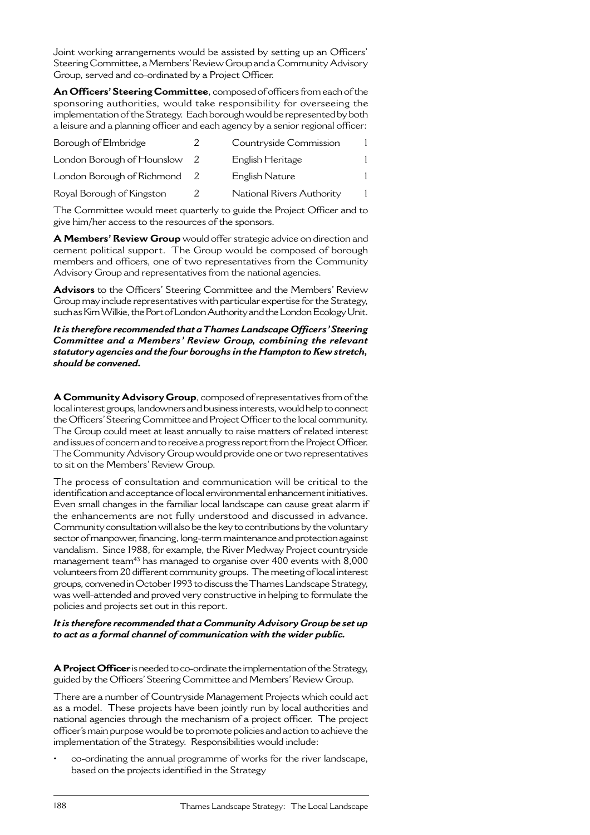Joint working arrangements would be assisted by setting up an Officers' Steering Committee, a Members' Review Group and a Community Advisory Group, served and co-ordinated by a Project Officer.

**An Officers' Steering Committee**, composed of officers from each of the sponsoring authorities, would take responsibility for overseeing the implementation of the Strategy. Each borough would be represented by both a leisure and a planning officer and each agency by a senior regional officer:

| Borough of Elmbridge       | 2             | Countryside Commission    |  |
|----------------------------|---------------|---------------------------|--|
| London Borough of Hounslow | 2             | English Heritage          |  |
| London Borough of Richmond | $\mathcal{L}$ | English Nature            |  |
| Royal Borough of Kingston  |               | National Rivers Authority |  |
|                            |               |                           |  |

The Committee would meet quarterly to guide the Project Officer and to give him/her access to the resources of the sponsors.

**A Members' Review Group** would offer strategic advice on direction and cement political support. The Group would be composed of borough members and officers, one of two representatives from the Community Advisory Group and representatives from the national agencies.

**Advisors** to the Officers' Steering Committee and the Members' Review Group may include representatives with particular expertise for the Strategy, such as Kim Wilkie, the Port of London Authority and the London Ecology Unit.

*It is therefore recommended that a Thames Landscape Officers' Steering Committee and a Members' Review Group, combining the relevant statutory agencies and the four boroughs in the Hampton to Kew stretch, should be convened.*

**A Community Advisory Group**, composed of representatives from of the local interest groups, landowners and business interests, would help to connect the Officers' Steering Committee and Project Officer to the local community. The Group could meet at least annually to raise matters of related interest and issues of concern and to receive a progress report from the Project Officer. The Community Advisory Group would provide one or two representatives to sit on the Members' Review Group.

The process of consultation and communication will be critical to the identification and acceptance of local environmental enhancement initiatives. Even small changes in the familiar local landscape can cause great alarm if the enhancements are not fully understood and discussed in advance. Community consultation will also be the key to contributions by the voluntary sector of manpower, financing, long-term maintenance and protection against vandalism. Since 1988, for example, the River Medway Project countryside management team<sup>43</sup> has managed to organise over 400 events with 8,000 volunteers from 20 different community groups. The meeting of local interest groups, convened in October 1993 to discuss the Thames Landscape Strategy, was well-attended and proved very constructive in helping to formulate the policies and projects set out in this report.

#### *It is therefore recommended that a Community Advisory Group be set up to act as a formal channel of communication with the wider public.*

**A Project Officer** is needed to co-ordinate the implementation of the Strategy, guided by the Officers' Steering Committee and Members' Review Group.

There are a number of Countryside Management Projects which could act as a model. These projects have been jointly run by local authorities and national agencies through the mechanism of a project officer. The project officer's main purpose would be to promote policies and action to achieve the implementation of the Strategy. Responsibilities would include:

• co-ordinating the annual programme of works for the river landscape, based on the projects identified in the Strategy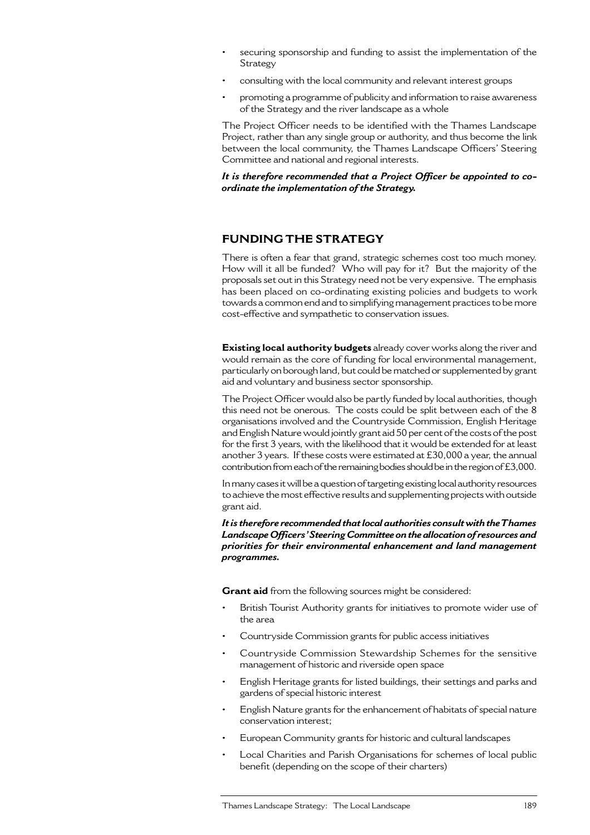- securing sponsorship and funding to assist the implementation of the Strategy
- consulting with the local community and relevant interest groups
- promoting a programme of publicity and information to raise awareness of the Strategy and the river landscape as a whole

The Project Officer needs to be identified with the Thames Landscape Project, rather than any single group or authority, and thus become the link between the local community, the Thames Landscape Officers' Steering Committee and national and regional interests.

*It is therefore recommended that a Project Officer be appointed to coordinate the implementation of the Strategy.*

## **FUNDING THE STRATEGY**

There is often a fear that grand, strategic schemes cost too much money. How will it all be funded? Who will pay for it? But the majority of the proposals set out in this Strategy need not be very expensive. The emphasis has been placed on co-ordinating existing policies and budgets to work towards a common end and to simplifying management practices to be more cost-effective and sympathetic to conservation issues.

**Existing local authority budgets** already cover works along the river and would remain as the core of funding for local environmental management, particularly on borough land, but could be matched or supplemented by grant aid and voluntary and business sector sponsorship.

The Project Officer would also be partly funded by local authorities, though this need not be onerous. The costs could be split between each of the 8 organisations involved and the Countryside Commission, English Heritage and English Nature would jointly grant aid 50 per cent of the costs of the post for the first 3 years, with the likelihood that it would be extended for at least another 3 years. If these costs were estimated at £30,000 a year, the annual contribution from each of the remaining bodies should be in the region of £3,000.

In many cases it will be a question of targeting existing local authority resources to achieve the most effective results and supplementing projects with outside grant aid.

*It is therefore recommended that local authorities consult with the Thames Landscape Officers' Steering Committee on the allocation of resources and priorities for their environmental enhancement and land management programmes.*

**Grant aid** from the following sources might be considered:

- British Tourist Authority grants for initiatives to promote wider use of the area
- Countryside Commission grants for public access initiatives
- Countryside Commission Stewardship Schemes for the sensitive management of historic and riverside open space
- English Heritage grants for listed buildings, their settings and parks and gardens of special historic interest
- English Nature grants for the enhancement of habitats of special nature conservation interest;
- European Community grants for historic and cultural landscapes
- Local Charities and Parish Organisations for schemes of local public benefit (depending on the scope of their charters)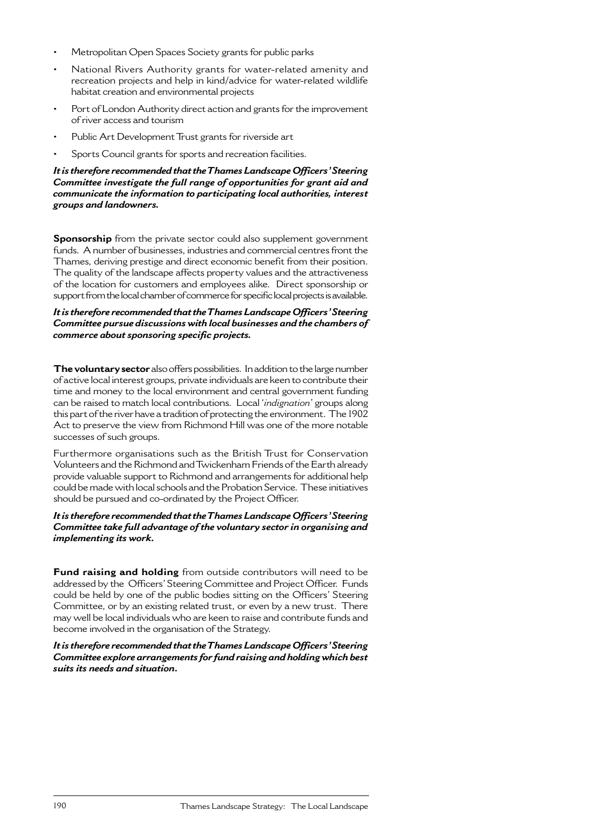- Metropolitan Open Spaces Society grants for public parks
- National Rivers Authority grants for water-related amenity and recreation projects and help in kind/advice for water-related wildlife habitat creation and environmental projects
- Port of London Authority direct action and grants for the improvement of river access and tourism
- Public Art Development Trust grants for riverside art
- Sports Council grants for sports and recreation facilities.

*It is therefore recommended that the Thames Landscape Officers' Steering Committee investigate the full range of opportunities for grant aid and communicate the information to participating local authorities, interest groups and landowners.*

**Sponsorship** from the private sector could also supplement government funds. A number of businesses, industries and commercial centres front the Thames, deriving prestige and direct economic benefit from their position. The quality of the landscape affects property values and the attractiveness of the location for customers and employees alike. Direct sponsorship or support from the local chamber of commerce for specific local projects is available.

*It is therefore recommended that the Thames Landscape Officers' Steering Committee pursue discussions with local businesses and the chambers of commerce about sponsoring specific projects.*

**The voluntary sector** also offers possibilities. In addition to the large number of active local interest groups, private individuals are keen to contribute their time and money to the local environment and central government funding can be raised to match local contributions. Local '*indignation*' groups along this part of the river have a tradition of protecting the environment. The 1902 Act to preserve the view from Richmond Hill was one of the more notable successes of such groups.

Furthermore organisations such as the British Trust for Conservation Volunteers and the Richmond and Twickenham Friends of the Earth already provide valuable support to Richmond and arrangements for additional help could be made with local schools and the Probation Service. These initiatives should be pursued and co-ordinated by the Project Officer.

*It is therefore recommended that the Thames Landscape Officers' Steering Committee take full advantage of the voluntary sector in organising and implementing its work.*

**Fund raising and holding** from outside contributors will need to be addressed by the Officers' Steering Committee and Project Officer. Funds could be held by one of the public bodies sitting on the Officers' Steering Committee, or by an existing related trust, or even by a new trust. There may well be local individuals who are keen to raise and contribute funds and become involved in the organisation of the Strategy.

*It is therefore recommended that the Thames Landscape Officers' Steering Committee explore arrangements for fund raising and holding which best suits its needs and situation.*